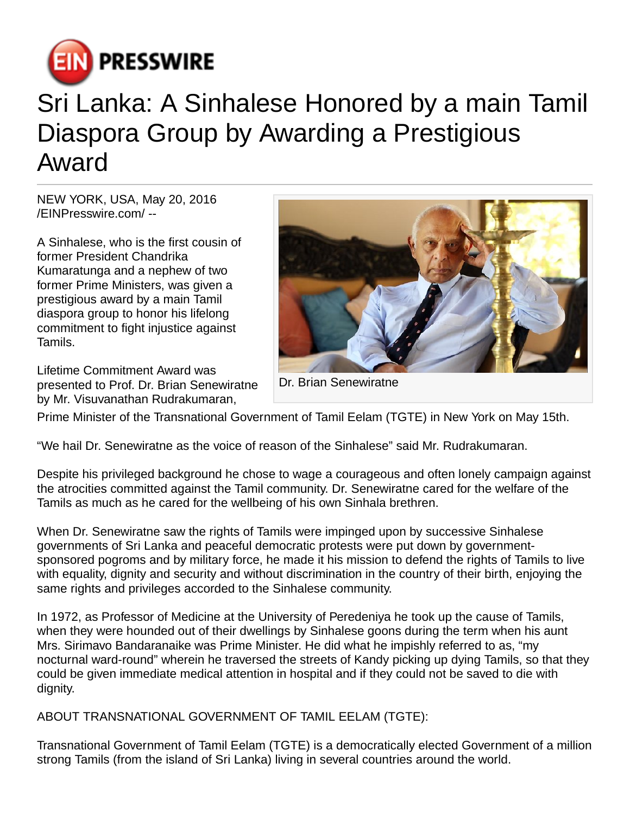

## Sri Lanka: A Sinhalese Honored by a main Tamil Diaspora Group by Awarding a Prestigious Award

NEW YORK, USA, May 20, 2016 [/EINPresswire.com](http://www.einpresswire.com)/ --

A Sinhalese, who is the first cousin of former President Chandrika Kumaratunga and a nephew of two former Prime Ministers, was given a prestigious award by a main Tamil diaspora group to honor his lifelong commitment to fight injustice against Tamils.

Lifetime Commitment Award was presented to Prof. Dr. Brian Senewiratne by Mr. Visuvanathan Rudrakumaran,



Dr. Brian Senewiratne

Prime Minister of the Transnational Government of Tamil Eelam (TGTE) in New York on May 15th.

"We hail Dr. Senewiratne as the voice of reason of the Sinhalese" said Mr. Rudrakumaran.

Despite his privileged background he chose to wage a courageous and often lonely campaign against the atrocities committed against the Tamil community. Dr. Senewiratne cared for the welfare of the Tamils as much as he cared for the wellbeing of his own Sinhala brethren.

When Dr. Senewiratne saw the rights of Tamils were impinged upon by successive Sinhalese governments of Sri Lanka and peaceful democratic protests were put down by governmentsponsored pogroms and by military force, he made it his mission to defend the rights of Tamils to live with equality, dignity and security and without discrimination in the country of their birth, enjoying the same rights and privileges accorded to the Sinhalese community.

In 1972, as Professor of Medicine at the University of Peredeniya he took up the cause of Tamils, when they were hounded out of their dwellings by Sinhalese goons during the term when his aunt Mrs. Sirimavo Bandaranaike was Prime Minister. He did what he impishly referred to as, "my nocturnal ward-round" wherein he traversed the streets of Kandy picking up dying Tamils, so that they could be given immediate medical attention in hospital and if they could not be saved to die with dignity.

ABOUT TRANSNATIONAL GOVERNMENT OF TAMIL EELAM (TGTE):

Transnational Government of Tamil Eelam (TGTE) is a democratically elected Government of a million strong Tamils (from the island of Sri Lanka) living in several countries around the world.